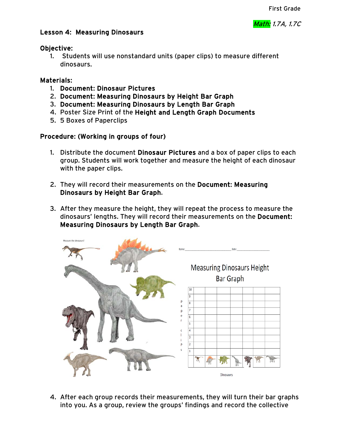# Lesson 4: Measuring Dinosaurs

#### Objective:

1. Students will use nonstandard units (paper clips) to measure different dinosaurs.

# Materials:

- 1. Document: Dinosaur Pictures
- 2. Document: Measuring Dinosaurs by Height Bar Graph
- 3. Document: Measuring Dinosaurs by Length Bar Graph
- 4. Poster Size Print of the Height and Length Graph Documents
- 5. 5 Boxes of Paperclips

# Procedure: (Working in groups of four)

- 1. Distribute the document Dinosaur Pictures and a box of paper clips to each group. Students will work together and measure the height of each dinosaur with the paper clips.
- 2. They will record their measurements on the Document: Measuring Dinosaurs by Height Bar Graph.
- 3. After they measure the height, they will repeat the process to measure the dinosaurs' lengths. They will record their measurements on the Document: Measuring Dinosaurs by Length Bar Graph.



4. After each group records their measurements, they will turn their bar graphs into you. As a group, review the groups' findings and record the collective